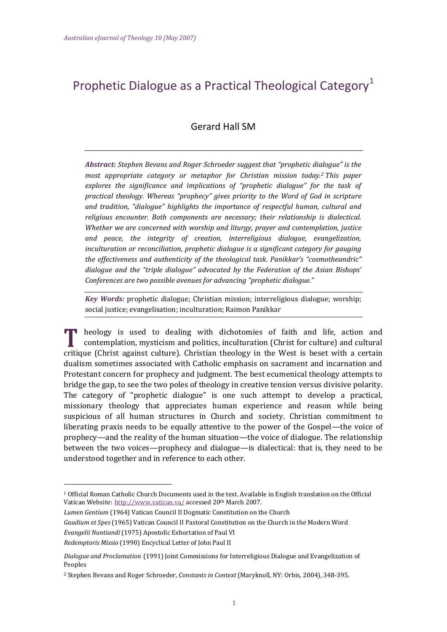# Prophetic Dialogue as a Practical Theological Category<sup>1</sup>

## Gerard Hall SM

*Abstract: Stephen Bevans and Roger Schroeder suggest that "prophetic dialogue" is the most appropriate category or metaphor for Christian mission today.<sup>2</sup> This paper explores the significance and implications of "prophetic dialogue" for the task of practical theology. Whereas "prophecy" gives priority to the Word of God in scripture and tradition, "dialogue" highlights the importance of respectful human, cultural and religious encounter. Both components are necessary; their relationship is dialectical. Whether we are concerned with worship and liturgy, prayer and contemplation, justice and peace, the integrity of creation, interreligious dialogue, evangelization, inculturation or reconciliation, prophetic dialogue is a significant category for gauging the effectiveness and authenticity of the theological task. Panikkar's "cosmotheandric" dialogue and the "triple dialogue" advocated by the Federation of the Asian Bishops' Conferences are two possible avenues for advancing "prophetic dialogue."*

*Key Words:* prophetic dialogue; Christian mission; interreligious dialogue; worship; social justice; evangelisation; inculturation; Raimon Panikkar

**heology** is used to dealing with dichotomies of faith and life, action and contemplation, mysticism and politics, inculturation (Christ for culture) and cultural critique (Christ against culture). Christian theology in the West is beset with a certain dualism sometimes associated with Catholic emphasis on sacrament and incarnation and Protestant concern for prophecy and judgment. The best ecumenical theology attempts to bridge the gap, to see the two poles of theology in creative tension versus divisive polarity. The category of "prophetic dialogue" is one such attempt to develop a practical, missionary theology that appreciates human experience and reason while being suspicious of all human structures in Church and society. Christian commitment to liberating praxis needs to be equally attentive to the power of the Gospel—the voice of prophecy—and the reality of the human situation—the voice of dialogue. The relationship between the two voices—prophecy and dialogue—is dialectical: that is, they need to be understood together and in reference to each other.

*Lumen Gentium* (1964) Vatican Council II Dogmatic Constitution on the Church

*Gaudium et Spes* (1965) Vatican Council II Pastoral Constitution on the Church in the Modern Word

<sup>1</sup> Official Roman Catholic Church Documents used in the text. Available in English translation on the Official Vatican Website: <http://www.vatican.va/> accessed 20th March 2007.

*Evangelii Nuntiandi* (1975) Apostolic Exhortation of Paul VI

*Redemptoris Missio* (1990) Encyclical Letter of John Paul II

*Dialogue and Proclamation* (1991) Joint Commissions for Interreligious Dialogue and Evangelization of Peoples

<sup>2</sup> Stephen Bevans and Roger Schroeder, *Constants in Context* (Maryknoll, NY: Orbis, 2004), 348-395.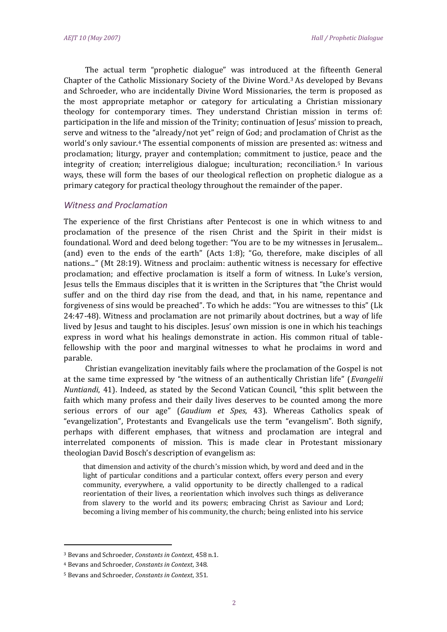The actual term "prophetic dialogue" was introduced at the fifteenth General Chapter of the Catholic Missionary Society of the Divine Word.<sup>3</sup> As developed by Bevans and Schroeder, who are incidentally Divine Word Missionaries, the term is proposed as the most appropriate metaphor or category for articulating a Christian missionary theology for contemporary times. They understand Christian mission in terms of: participation in the life and mission of the Trinity; continuation of Jesus' mission to preach, serve and witness to the "already/not yet" reign of God; and proclamation of Christ as the world's only saviour.<sup>4</sup> The essential components of mission are presented as: witness and proclamation; liturgy, prayer and contemplation; commitment to justice, peace and the integrity of creation; interreligious dialogue; inculturation; reconciliation.<sup>5</sup> In various ways, these will form the bases of our theological reflection on prophetic dialogue as a primary category for practical theology throughout the remainder of the paper.

#### *Witness and Proclamation*

The experience of the first Christians after Pentecost is one in which witness to and proclamation of the presence of the risen Christ and the Spirit in their midst is foundational. Word and deed belong together: "You are to be my witnesses in Jerusalem... (and) even to the ends of the earth" (Acts 1:8); "Go, therefore, make disciples of all nations..." (Mt 28:19). Witness and proclaim: authentic witness is necessary for effective proclamation; and effective proclamation is itself a form of witness. In Luke's version, Jesus tells the Emmaus disciples that it is written in the Scriptures that "the Christ would suffer and on the third day rise from the dead, and that, in his name, repentance and forgiveness of sins would be preached". To which he adds: "You are witnesses to this" (Lk 24:47-48). Witness and proclamation are not primarily about doctrines, but a way of life lived by Jesus and taught to his disciples. Jesus' own mission is one in which his teachings express in word what his healings demonstrate in action. His common ritual of tablefellowship with the poor and marginal witnesses to what he proclaims in word and parable.

Christian evangelization inevitably fails where the proclamation of the Gospel is not at the same time expressed by "the witness of an authentically Christian life" (*Evangelii Nuntiandi*, 41). Indeed, as stated by the Second Vatican Council, "this split between the faith which many profess and their daily lives deserves to be counted among the more serious errors of our age" (*Gaudium et Spes*, 43). Whereas Catholics speak of "evangelization", Protestants and Evangelicals use the term "evangelism". Both signify, perhaps with different emphases, that witness and proclamation are integral and interrelated components of mission. This is made clear in Protestant missionary theologian David Bosch's description of evangelism as:

that dimension and activity of the church's mission which, by word and deed and in the light of particular conditions and a particular context, offers every person and every community, everywhere, a valid opportunity to be directly challenged to a radical reorientation of their lives, a reorientation which involves such things as deliverance from slavery to the world and its powers; embracing Christ as Saviour and Lord; becoming a living member of his community, the church; being enlisted into his service

<sup>3</sup> Bevans and Schroeder, *Constants in Context*, 458 n.1.

<sup>4</sup> Bevans and Schroeder, *Constants in Context*, 348.

<sup>5</sup> Bevans and Schroeder, *Constants in Context*, 351.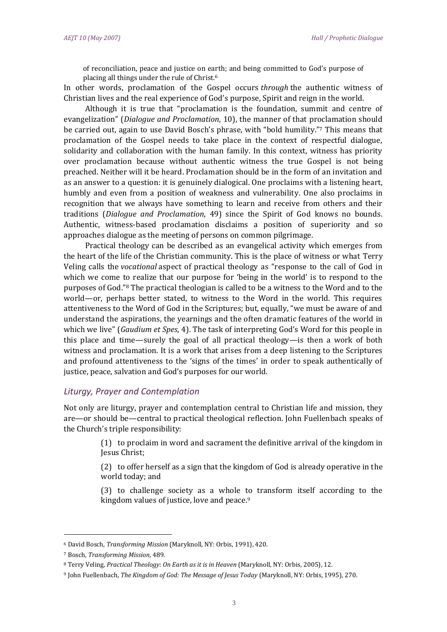of reconciliation, peace and justice on earth; and being committed to God's purpose of placing all things under the rule of Christ.<sup>6</sup>

In other words, proclamation of the Gospel occurs *through* the authentic witness of Christian lives and the real experience of God's purpose, Spirit and reign in the world.

Although it is true that "proclamation is the foundation, summit and centre of evangelization" (*Dialogue and Proclamation*, 10), the manner of that proclamation should be carried out, again to use David Bosch's phrase, with "bold humility." <sup>7</sup> This means that proclamation of the Gospel needs to take place in the context of respectful dialogue, solidarity and collaboration with the human family. In this context, witness has priority over proclamation because without authentic witness the true Gospel is not being preached. Neither will it be heard. Proclamation should be in the form of an invitation and as an answer to a question: it is genuinely dialogical. One proclaims with a listening heart, humbly and even from a position of weakness and vulnerability. One also proclaims in recognition that we always have something to learn and receive from others and their traditions (*Dialogue and Proclamation*, 49) since the Spirit of God knows no bounds. Authentic, witness-based proclamation disclaims a position of superiority and so approaches dialogue as the meeting of persons on common pilgrimage.

Practical theology can be described as an evangelical activity which emerges from the heart of the life of the Christian community. This is the place of witness or what Terry Veling calls the *vocational* aspect of practical theology as "response to the call of God in which we come to realize that our purpose for 'being in the world' is to respond to the purposes of God." <sup>8</sup> The practical theologian is called to be a witness to the Word and to the world—or, perhaps better stated, to witness to the Word in the world. This requires attentiveness to the Word of God in the Scriptures; but, equally, "we must be aware of and understand the aspirations, the yearnings and the often dramatic features of the world in which we live" (*Gaudium et Spes*, 4). The task of interpreting God's Word for this people in this place and time—surely the goal of all practical theology—is then a work of both witness and proclamation. It is a work that arises from a deep listening to the Scriptures and profound attentiveness to the 'signs of the times' in order to speak authentically of justice, peace, salvation and God's purposes for our world.

#### *Liturgy, Prayer and Contemplation*

Not only are liturgy, prayer and contemplation central to Christian life and mission, they are—or should be—central to practical theological reflection. John Fuellenbach speaks of the Church's triple responsibility:

> (1) to proclaim in word and sacrament the definitive arrival of the kingdom in Jesus Christ;

> (2) to offer herself as a sign that the kingdom of God is already operative in the world today; and

> (3) to challenge society as a whole to transform itself according to the kingdom values of justice, love and peace.<sup>9</sup>

 $\overline{\phantom{a}}$ 

<sup>6</sup> David Bosch, *Transforming Mission* (Maryknoll, NY: Orbis, 1991), 420.

<sup>7</sup> Bosch, *Transforming Mission*, 489.

<sup>8</sup> Terry Veling, *Practical Theology: On Earth as it is in Heaven* (Maryknoll, NY: Orbis, 2005), 12.

<sup>9</sup> John Fuellenbach, *The Kingdom of God: The Message of Jesus Today* (Maryknoll, NY: Orbis, 1995), 270.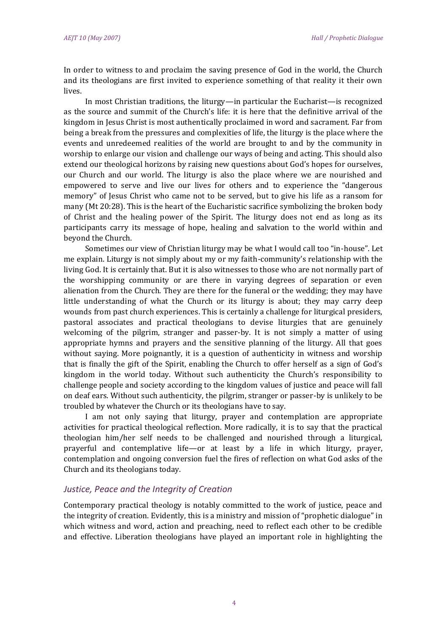In order to witness to and proclaim the saving presence of God in the world, the Church and its theologians are first invited to experience something of that reality it their own lives.

In most Christian traditions, the liturgy—in particular the Eucharist—is recognized as the source and summit of the Church's life: it is here that the definitive arrival of the kingdom in Jesus Christ is most authentically proclaimed in word and sacrament. Far from being a break from the pressures and complexities of life, the liturgy is the place where the events and unredeemed realities of the world are brought to and by the community in worship to enlarge our vision and challenge our ways of being and acting. This should also extend our theological horizons by raising new questions about God's hopes for ourselves, our Church and our world. The liturgy is also the place where we are nourished and empowered to serve and live our lives for others and to experience the "dangerous memory" of Jesus Christ who came not to be served, but to give his life as a ransom for many (Mt 20:28). This is the heart of the Eucharistic sacrifice symbolizing the broken body of Christ and the healing power of the Spirit. The liturgy does not end as long as its participants carry its message of hope, healing and salvation to the world within and beyond the Church.

Sometimes our view of Christian liturgy may be what I would call too "in-house". Let me explain. Liturgy is not simply about my or my faith-community's relationship with the living God. It is certainly that. But it is also witnesses to those who are not normally part of the worshipping community or are there in varying degrees of separation or even alienation from the Church. They are there for the funeral or the wedding; they may have little understanding of what the Church or its liturgy is about; they may carry deep wounds from past church experiences. This is certainly a challenge for liturgical presiders, pastoral associates and practical theologians to devise liturgies that are genuinely welcoming of the pilgrim, stranger and passer-by. It is not simply a matter of using appropriate hymns and prayers and the sensitive planning of the liturgy. All that goes without saying. More poignantly, it is a question of authenticity in witness and worship that is finally the gift of the Spirit, enabling the Church to offer herself as a sign of God's kingdom in the world today. Without such authenticity the Church's responsibility to challenge people and society according to the kingdom values of justice and peace will fall on deaf ears. Without such authenticity, the pilgrim, stranger or passer-by is unlikely to be troubled by whatever the Church or its theologians have to say.

I am not only saying that liturgy, prayer and contemplation are appropriate activities for practical theological reflection. More radically, it is to say that the practical theologian him/her self needs to be challenged and nourished through a liturgical, prayerful and contemplative life—or at least by a life in which liturgy, prayer, contemplation and ongoing conversion fuel the fires of reflection on what God asks of the Church and its theologians today.

#### *Justice, Peace and the Integrity of Creation*

Contemporary practical theology is notably committed to the work of justice, peace and the integrity of creation. Evidently, this is a ministry and mission of "prophetic dialogue" in which witness and word, action and preaching, need to reflect each other to be credible and effective. Liberation theologians have played an important role in highlighting the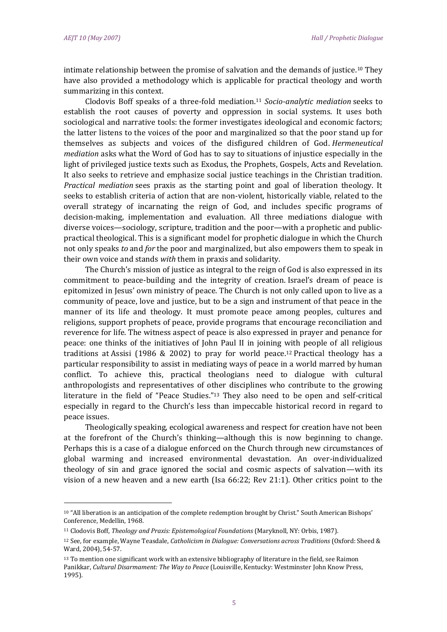l

intimate relationship between the promise of salvation and the demands of justice.<sup>10</sup> They have also provided a methodology which is applicable for practical theology and worth summarizing in this context.

Clodovis Boff speaks of a three-fold mediation.<sup>11</sup> *Socio-analytic mediation* seeks to establish the root causes of poverty and oppression in social systems. It uses both sociological and narrative tools: the former investigates ideological and economic factors; the latter listens to the voices of the poor and marginalized so that the poor stand up for themselves as subjects and voices of the disfigured children of God. *Hermeneutical mediation* asks what the Word of God has to say to situations of injustice especially in the light of privileged justice texts such as Exodus, the Prophets, Gospels, Acts and Revelation. It also seeks to retrieve and emphasize social justice teachings in the Christian tradition. *Practical mediation* sees praxis as the starting point and goal of liberation theology. It seeks to establish criteria of action that are non-violent, historically viable, related to the overall strategy of incarnating the reign of God, and includes specific programs of decision-making, implementation and evaluation. All three mediations dialogue with diverse voices—sociology, scripture, tradition and the poor—with a prophetic and publicpractical theological. This is a significant model for prophetic dialogue in which the Church not only speaks *to* and *for* the poor and marginalized, but also empowers them to speak in their own voice and stands *with* them in praxis and solidarity.

The Church's mission of justice as integral to the reign of God is also expressed in its commitment to peace-building and the integrity of creation. Israel's dream of peace is epitomized in Jesus' own ministry of peace. The Church is not only called upon to live as a community of peace, love and justice, but to be a sign and instrument of that peace in the manner of its life and theology. It must promote peace among peoples, cultures and religions, support prophets of peace, provide programs that encourage reconciliation and reverence for life. The witness aspect of peace is also expressed in prayer and penance for peace: one thinks of the initiatives of John Paul II in joining with people of all religious traditions at Assisi (1986 & 2002) to pray for world peace.<sup>12</sup> Practical theology has a particular responsibility to assist in mediating ways of peace in a world marred by human conflict. To achieve this, practical theologians need to dialogue with cultural anthropologists and representatives of other disciplines who contribute to the growing literature in the field of "Peace Studies." <sup>13</sup> They also need to be open and self-critical especially in regard to the Church's less than impeccable historical record in regard to peace issues.

Theologically speaking, ecological awareness and respect for creation have not been at the forefront of the Church's thinking—although this is now beginning to change. Perhaps this is a case of a dialogue enforced on the Church through new circumstances of global warming and increased environmental devastation. An over-individualized theology of sin and grace ignored the social and cosmic aspects of salvation—with its vision of a new heaven and a new earth (Isa 66:22; Rev 21:1). Other critics point to the

<sup>10</sup> "All liberation is an anticipation of the complete redemption brought by Christ." South American Bishops' Conference, Medellin, 1968.

<sup>11</sup> Clodovis Boff, *Theology and Praxis: Epistemological Foundations* (Maryknoll, NY: Orbis, 1987).

<sup>12</sup> See, for example, Wayne Teasdale, *Catholicism in Dialogue: Conversations across Traditions* (Oxford: Sheed & Ward, 2004), 54-57.

<sup>&</sup>lt;sup>13</sup> To mention one significant work with an extensive bibliography of literature in the field, see Raimon Panikkar, *Cultural Disarmament: The Way to Peace* (Louisville, Kentucky: Westminster John Know Press, 1995).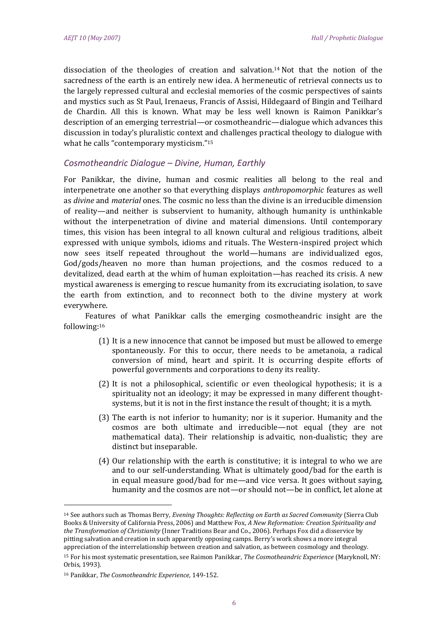dissociation of the theologies of creation and salvation.<sup>14</sup> Not that the notion of the sacredness of the earth is an entirely new idea. A hermeneutic of retrieval connects us to the largely repressed cultural and ecclesial memories of the cosmic perspectives of saints and mystics such as St Paul, Irenaeus, Francis of Assisi, Hildegaard of Bingin and Teilhard de Chardin. All this is known. What may be less well known is Raimon Panikkar's description of an emerging terrestrial—or cosmotheandric—dialogue which advances this discussion in today's pluralistic context and challenges practical theology to dialogue with what he calls "contemporary mysticism."<sup>15</sup>

### *Cosmotheandric Dialogue – Divine, Human, Earthly*

For Panikkar, the divine, human and cosmic realities all belong to the real and interpenetrate one another so that everything displays *anthropomorphic* features as well as *divine* and *material* ones. The cosmic no less than the divine is an irreducible dimension of reality—and neither is subservient to humanity, although humanity is unthinkable without the interpenetration of divine and material dimensions. Until contemporary times, this vision has been integral to all known cultural and religious traditions, albeit expressed with unique symbols, idioms and rituals. The Western-inspired project which now sees itself repeated throughout the world—humans are individualized egos, God/gods/heaven no more than human projections, and the cosmos reduced to a devitalized, dead earth at the whim of human exploitation—has reached its crisis. A new mystical awareness is emerging to rescue humanity from its excruciating isolation, to save the earth from extinction, and to reconnect both to the divine mystery at work everywhere.

Features of what Panikkar calls the emerging cosmotheandric insight are the following:<sup>16</sup>

- (1) It is a new innocence that cannot be imposed but must be allowed to emerge spontaneously. For this to occur, there needs to be ametanoia, a radical conversion of mind, heart and spirit. It is occurring despite efforts of powerful governments and corporations to deny its reality.
- (2) It is not a philosophical, scientific or even theological hypothesis; it is a spirituality not an ideology; it may be expressed in many different thoughtsystems, but it is not in the first instance the result of thought; it is a myth.
- (3) The earth is not inferior to humanity; nor is it superior. Humanity and the cosmos are both ultimate and irreducible—not equal (they are not mathematical data). Their relationship is advaitic, non-dualistic; they are distinct but inseparable.
- (4) Our relationship with the earth is constitutive; it is integral to who we are and to our self-understanding. What is ultimately good/bad for the earth is in equal measure good/bad for me—and vice versa. It goes without saying, humanity and the cosmos are not—or should not—be in conflict, let alone at

<sup>14</sup> See authors such as Thomas Berry, *Evening Thoughts: Reflecting on Earth as Sacred Community* (Sierra Club Books & University of California Press, 2006) and Matthew Fox, *A New Reformation: Creation Spirituality and the Transformation of Christianity* (Inner Traditions Bear and Co., 2006). Perhaps Fox did a disservice by pitting salvation and creation in such apparently opposing camps. Berry's work shows a more integral appreciation of the interrelationship between creation and salvation, as between cosmology and theology.

<sup>15</sup> For his most systematic presentation, see Raimon Panikkar, *The Cosmotheandric Experience* (Maryknoll, NY: Orbis, 1993).

<sup>16</sup> Panikkar, *The Cosmotheandric Experience*, 149-152.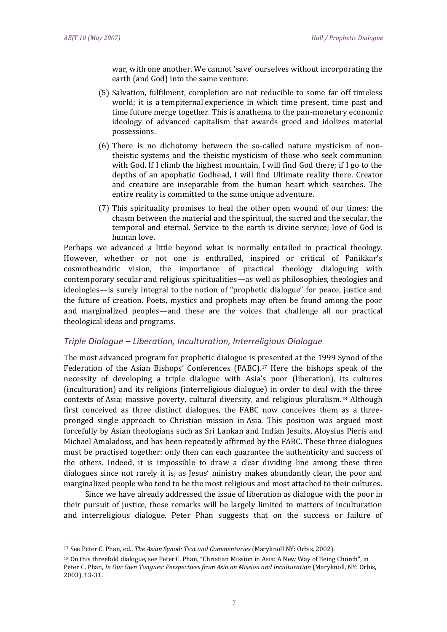$\overline{\phantom{a}}$ 

war, with one another. We cannot 'save' ourselves without incorporating the earth (and God) into the same venture.

- (5) Salvation, fulfilment, completion are not reducible to some far off timeless world; it is a tempiternal experience in which time present, time past and time future merge together. This is anathema to the pan-monetary economic ideology of advanced capitalism that awards greed and idolizes material possessions.
- (6) There is no dichotomy between the so-called nature mysticism of nontheistic systems and the theistic mysticism of those who seek communion with God. If I climb the highest mountain, I will find God there; if I go to the depths of an apophatic Godhead, I will find Ultimate reality there. Creator and creature are inseparable from the human heart which searches. The entire reality is committed to the same unique adventure.
- (7) This spirituality promises to heal the other open wound of our times: the chasm between the material and the spiritual, the sacred and the secular, the temporal and eternal. Service to the earth is divine service; love of God is human love.

Perhaps we advanced a little beyond what is normally entailed in practical theology. However, whether or not one is enthralled, inspired or critical of Panikkar's cosmotheandric vision, the importance of practical theology dialoguing with contemporary secular and religious spiritualities—as well as philosophies, theologies and ideologies—is surely integral to the notion of "prophetic dialogue" for peace, justice and the future of creation. Poets, mystics and prophets may often be found among the poor and marginalized peoples—and these are the voices that challenge all our practical theological ideas and programs.

#### *Triple Dialogue – Liberation, Inculturation, Interreligious Dialogue*

The most advanced program for prophetic dialogue is presented at the 1999 Synod of the Federation of the Asian Bishops' Conferences (FABC).<sup>17</sup> Here the bishops speak of the necessity of developing a triple dialogue with Asia's poor (liberation), its cultures (inculturation) and its religions (interreligious dialogue) in order to deal with the three contexts of Asia: massive poverty, cultural diversity, and religious pluralism.<sup>18</sup> Although first conceived as three distinct dialogues, the FABC now conceives them as a threepronged single approach to Christian mission in Asia. This position was argued most forcefully by Asian theologians such as Sri Lankan and Indian Jesuits, Aloysius Pieris and Michael Amaladoss, and has been repeatedly affirmed by the FABC. These three dialogues must be practised together: only then can each guarantee the authenticity and success of the others. Indeed, it is impossible to draw a clear dividing line among these three dialogues since not rarely it is, as Jesus' ministry makes abundantly clear, the poor and marginalized people who tend to be the most religious and most attached to their cultures.

Since we have already addressed the issue of liberation as dialogue with the poor in their pursuit of justice, these remarks will be largely limited to matters of inculturation and interreligious dialogue. Peter Phan suggests that on the success or failure of

<sup>17</sup> See Peter C. Phan, ed., *The Asian Synod: Text and Commentaries* (Maryknoll NY: Orbis, 2002).

<sup>&</sup>lt;sup>18</sup> On this threefold dialogue, see Peter C. Phan, "Christian Mission in Asia: A New Way of Being Church", in Peter C. Phan, *In Our Own Tongues: Perspectives from Asia on Mission and Inculturation* (Maryknoll, NY: Orbis, 2003), 13-31.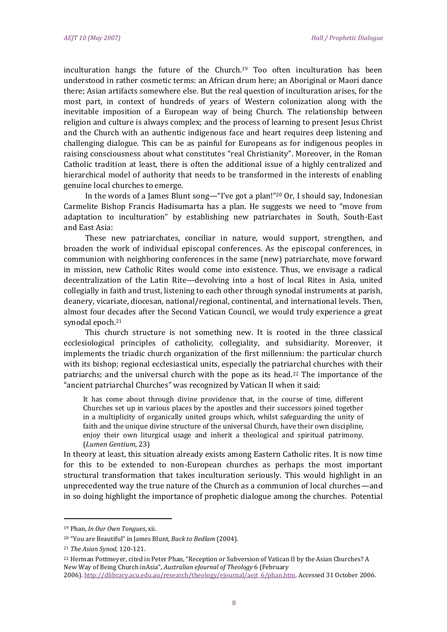inculturation hangs the future of the Church.<sup>19</sup> Too often inculturation has been understood in rather cosmetic terms: an African drum here; an Aboriginal or Maori dance there; Asian artifacts somewhere else. But the real question of inculturation arises, for the most part, in context of hundreds of years of Western colonization along with the inevitable imposition of a European way of being Church. The relationship between religion and culture is always complex; and the process of learning to present Jesus Christ and the Church with an authentic indigenous face and heart requires deep listening and challenging dialogue. This can be as painful for Europeans as for indigenous peoples in raising consciousness about what constitutes "real Christianity". Moreover, in the Roman Catholic tradition at least, there is often the additional issue of a highly centralized and hierarchical model of authority that needs to be transformed in the interests of enabling genuine local churches to emerge.

In the words of a James Blunt song—"I've got a plan!"<sup>20</sup> Or, I should say, Indonesian Carmelite Bishop Francis Hadisumarta has a plan. He suggests we need to "move from adaptation to inculturation" by establishing new patriarchates in South, South-East and East Asia:

These new patriarchates, conciliar in nature, would support, strengthen, and broaden the work of individual episcopal conferences. As the episcopal conferences, in communion with neighboring conferences in the same (new) patriarchate, move forward in mission, new Catholic Rites would come into existence. Thus, we envisage a radical decentralization of the Latin Rite—devolving into a host of local Rites in Asia, united collegially in faith and trust, listening to each other through synodal instruments at parish, deanery, vicariate, diocesan, national/regional, continental, and international levels. Then, almost four decades after the Second Vatican Council, we would truly experience a great synodal epoch.<sup>21</sup>

This church structure is not something new. It is rooted in the three classical ecclesiological principles of catholicity, collegiality, and subsidiarity. Moreover, it implements the triadic church organization of the first millennium: the particular church with its bishop; regional ecclesiastical units, especially the patriarchal churches with their patriarchs; and the universal church with the pope as its head.<sup>22</sup> The importance of the "ancient patriarchal Churches" was recognized by Vatican II when it said:

It has come about through divine providence that, in the course of time, different Churches set up in various places by the apostles and their successors joined together in a multiplicity of organically united groups which, whilst safeguarding the unity of faith and the unique divine structure of the universal Church, have their own discipline, enjoy their own liturgical usage and inherit a theological and spiritual patrimony. (*Lumen Gentium*, 23)

In theory at least, this situation already exists among Eastern Catholic rites. It is now time for this to be extended to non-European churches as perhaps the most important structural transformation that takes inculturation seriously. This would highlight in an unprecedented way the true nature of the Church as a communion of local churches—and in so doing highlight the importance of prophetic dialogue among the churches. Potential

<sup>19</sup> Phan, *In Our Own Tongues*, xii.

<sup>20</sup> "You are Beautiful" in James Blunt, *Back to Bedlam* (2004).

<sup>21</sup> *The Asian Synod,* 120-121.

<sup>22</sup> Herman Pottmeyer, cited in Peter Phan, "Reception or Subversion of Vatican II by the Asian Churches? A New Way of Being Church inAsia", *Australian eJournal of Theology* 6 (February

<sup>2006).</sup> [http://dlibrary.acu.edu.au/research/theology/ejournal/aejt\\_6/phan.htm.](http://dlibrary.acu.edu.au/research/theology/ejournal/aejt_6/phan.htm) Accessed 31 October 2006.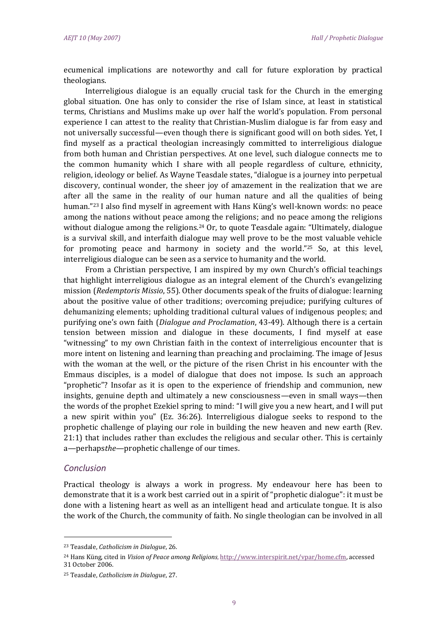ecumenical implications are noteworthy and call for future exploration by practical theologians.

Interreligious dialogue is an equally crucial task for the Church in the emerging global situation. One has only to consider the rise of Islam since, at least in statistical terms, Christians and Muslims make up over half the world's population. From personal experience I can attest to the reality that Christian-Muslim dialogue is far from easy and not universally successful—even though there is significant good will on both sides. Yet, I find myself as a practical theologian increasingly committed to interreligious dialogue from both human and Christian perspectives. At one level, such dialogue connects me to the common humanity which I share with all people regardless of culture, ethnicity, religion, ideology or belief. As Wayne Teasdale states, "dialogue is a journey into perpetual discovery, continual wonder, the sheer joy of amazement in the realization that we are after all the same in the reality of our human nature and all the qualities of being human." <sup>23</sup> I also find myself in agreement with Hans Küng's well-known words: no peace among the nations without peace among the religions; and no peace among the religions without dialogue among the religions.<sup>24</sup> Or, to quote Teasdale again: "Ultimately, dialogue is a survival skill, and interfaith dialogue may well prove to be the most valuable vehicle for promoting peace and harmony in society and the world." <sup>25</sup> So, at this level, interreligious dialogue can be seen as a service to humanity and the world.

From a Christian perspective, I am inspired by my own Church's official teachings that highlight interreligious dialogue as an integral element of the Church's evangelizing mission (*Redemptoris Missio*, 55). Other documents speak of the fruits of dialogue: learning about the positive value of other traditions; overcoming prejudice; purifying cultures of dehumanizing elements; upholding traditional cultural values of indigenous peoples; and purifying one's own faith (*Dialogue and Proclamation*, 43-49). Although there is a certain tension between mission and dialogue in these documents, I find myself at ease "witnessing" to my own Christian faith in the context of interreligious encounter that is more intent on listening and learning than preaching and proclaiming. The image of Jesus with the woman at the well, or the picture of the risen Christ in his encounter with the Emmaus disciples, is a model of dialogue that does not impose. Is such an approach "prophetic"? Insofar as it is open to the experience of friendship and communion, new insights, genuine depth and ultimately a new consciousness—even in small ways—then the words of the prophet Ezekiel spring to mind: "I will give you a new heart, and I will put a new spirit within you" (Ez. 36:26). Interreligious dialogue seeks to respond to the prophetic challenge of playing our role in building the new heaven and new earth (Rev. 21:1) that includes rather than excludes the religious and secular other. This is certainly a—perhaps*the*—prophetic challenge of our times.

#### *Conclusion*

 $\overline{\phantom{a}}$ 

Practical theology is always a work in progress. My endeavour here has been to demonstrate that it is a work best carried out in a spirit of "prophetic dialogue": it must be done with a listening heart as well as an intelligent head and articulate tongue. It is also the work of the Church, the community of faith. No single theologian can be involved in all

<sup>23</sup> Teasdale, *Catholicism in Dialogue*, 26.

<sup>24</sup> Hans Küng, cited in *Vision of Peace among Religions,* [http://www.interspirit.net/vpar/home.cfm,](http://www.interspirit.net/vpar/home.cfm) accessed 31 October 2006.

<sup>25</sup> Teasdale, *Catholicism in Dialogue*, 27.